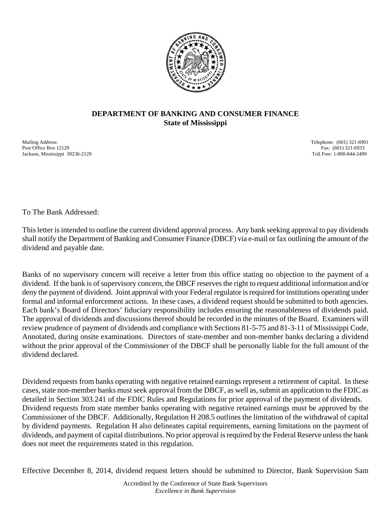

## **DEPARTMENT OF BANKING AND CONSUMER FINANCE State of Mississippi**

Mailing Address: Telephone: (601) 321-6901 Post Office Box 12129 Fax: (601) 321-6933 Jackson, Mississippi 39236-2129 Toll Free: 1-800-844-2499

To The Bank Addressed:

This letter is intended to outline the current dividend approval process. Any bank seeking approval to pay dividends shall notify the Department of Banking and Consumer Finance (DBCF) via e-mail or fax outlining the amount of the dividend and payable date.

Banks of no supervisory concern will receive a letter from this office stating no objection to the payment of a dividend. If the bank is of supervisory concern, the DBCF reserves the right to request additional information and/or deny the payment of dividend. Joint approval with your Federal regulator is required for institutions operating under formal and informal enforcement actions. In these cases, a dividend request should be submitted to both agencies. Each bank's Board of Directors' fiduciary responsibility includes ensuring the reasonableness of dividends paid. The approval of dividends and discussions thereof should be recorded in the minutes of the Board. Examiners will review prudence of payment of dividends and compliance with Sections 81-5-75 and 81-3-11 of Mississippi Code, Annotated, during onsite examinations. Directors of state-member and non-member banks declaring a dividend without the prior approval of the Commissioner of the DBCF shall be personally liable for the full amount of the dividend declared.

Dividend requests from banks operating with negative retained earnings represent a retirement of capital. In these cases, state non-member banks must seek approval from the DBCF, as well as, submit an application to the FDIC as detailed in Section 303.241 of the FDIC Rules and Regulations for prior approval of the payment of dividends. Dividend requests from state member banks operating with negative retained earnings must be approved by the Commissioner of the DBCF. Additionally, Regulation H 208.5 outlines the limitation of the withdrawal of capital by dividend payments. Regulation H also delineates capital requirements, earning limitations on the payment of dividends, and payment of capital distributions. No prior approval is required by the Federal Reserve unless the bank does not meet the requirements stated in this regulation.

Effective December 8, 2014, dividend request letters should be submitted to Director, Bank Supervision Sam